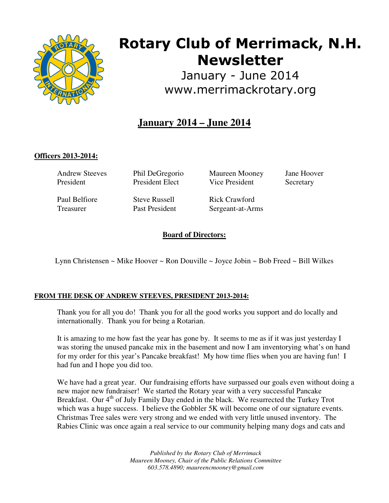

# **Rotary Club of Merrimack, N.H. Newsletter**

January - June 2014 www.merrimackrotary.org

## **January 2014 – June 2014**

## **Officers 2013-2014:**

Andrew Steeves President

Phil DeGregorio President Elect

Paul Belfiore Treasurer

Steve Russell Past President Maureen Mooney Vice President

Jane Hoover **Secretary** 

Rick Crawford Sergeant-at-Arms

**Board of Directors:** 

Lynn Christensen ~ Mike Hoover ~ Ron Douville ~ Joyce Jobin ~ Bob Freed ~ Bill Wilkes

### **FROM THE DESK OF ANDREW STEEVES, PRESIDENT 2013-2014:**

Thank you for all you do! Thank you for all the good works you support and do locally and internationally. Thank you for being a Rotarian.

It is amazing to me how fast the year has gone by. It seems to me as if it was just yesterday I was storing the unused pancake mix in the basement and now I am inventorying what's on hand for my order for this year's Pancake breakfast! My how time flies when you are having fun! I had fun and I hope you did too.

We have had a great year. Our fundraising efforts have surpassed our goals even without doing a new major new fundraiser! We started the Rotary year with a very successful Pancake Breakfast. Our 4<sup>th</sup> of July Family Day ended in the black. We resurrected the Turkey Trot which was a huge success. I believe the Gobbler 5K will become one of our signature events. Christmas Tree sales were very strong and we ended with very little unused inventory. The Rabies Clinic was once again a real service to our community helping many dogs and cats and

> *Published by the Rotary Club of Merrimack Maureen Mooney, Chair of the Public Relations Committee 603.578.4890; maureencmooney@gmail.com*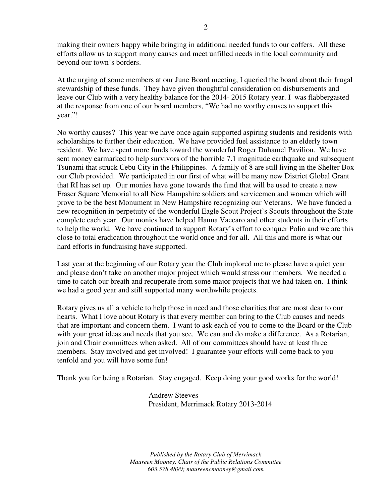making their owners happy while bringing in additional needed funds to our coffers. All these efforts allow us to support many causes and meet unfilled needs in the local community and beyond our town's borders.

At the urging of some members at our June Board meeting, I queried the board about their frugal stewardship of these funds. They have given thoughtful consideration on disbursements and leave our Club with a very healthy balance for the 2014- 2015 Rotary year. I was flabbergasted at the response from one of our board members, "We had no worthy causes to support this year."!

No worthy causes? This year we have once again supported aspiring students and residents with scholarships to further their education. We have provided fuel assistance to an elderly town resident. We have spent more funds toward the wonderful Roger Duhamel Pavilion. We have sent money earmarked to help survivors of the horrible 7.1 magnitude earthquake and subsequent Tsunami that struck Cebu City in the Philippines. A family of 8 are still living in the Shelter Box our Club provided. We participated in our first of what will be many new District Global Grant that RI has set up. Our monies have gone towards the fund that will be used to create a new Fraser Square Memorial to all New Hampshire soldiers and servicemen and women which will prove to be the best Monument in New Hampshire recognizing our Veterans. We have funded a new recognition in perpetuity of the wonderful Eagle Scout Project's Scouts throughout the State complete each year. Our monies have helped Hanna Vaccaro and other students in their efforts to help the world. We have continued to support Rotary's effort to conquer Polio and we are this close to total eradication throughout the world once and for all. All this and more is what our hard efforts in fundraising have supported.

Last year at the beginning of our Rotary year the Club implored me to please have a quiet year and please don't take on another major project which would stress our members. We needed a time to catch our breath and recuperate from some major projects that we had taken on. I think we had a good year and still supported many worthwhile projects.

Rotary gives us all a vehicle to help those in need and those charities that are most dear to our hearts. What I love about Rotary is that every member can bring to the Club causes and needs that are important and concern them. I want to ask each of you to come to the Board or the Club with your great ideas and needs that you see. We can and do make a difference. As a Rotarian, join and Chair committees when asked. All of our committees should have at least three members. Stay involved and get involved! I guarantee your efforts will come back to you tenfold and you will have some fun!

Thank you for being a Rotarian. Stay engaged. Keep doing your good works for the world!

Andrew Steeves President, Merrimack Rotary 2013-2014

*Published by the Rotary Club of Merrimack Maureen Mooney, Chair of the Public Relations Committee 603.578.4890; maureencmooney@gmail.com*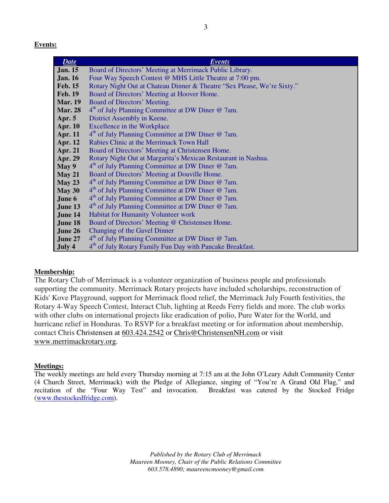**Events:** 

| <b>Date</b>    | <b>Events</b>                                                           |
|----------------|-------------------------------------------------------------------------|
| <b>Jan. 15</b> | Board of Directors' Meeting at Merrimack Public Library.                |
| <b>Jan. 16</b> | Four Way Speech Contest @ MHS Little Theatre at 7:00 pm.                |
| <b>Feb. 15</b> | Rotary Night Out at Chateau Dinner & Theatre "Sex Please, We're Sixty." |
| <b>Feb. 19</b> | Board of Directors' Meeting at Hoover Home.                             |
| <b>Mar. 19</b> | Board of Directors' Meeting.                                            |
| <b>Mar. 28</b> | 4 <sup>th</sup> of July Planning Committee at DW Diner @ 7am.           |
| Apr. $5$       | District Assembly in Keene.                                             |
| <b>Apr. 10</b> | Excellence in the Workplace                                             |
| <b>Apr. 11</b> | 4 <sup>th</sup> of July Planning Committee at DW Diner @ 7am.           |
| Apr. 12        | Rabies Clinic at the Merrimack Town Hall                                |
| Apr. 21        | Board of Directors' Meeting at Christensen Home.                        |
| Apr. 29        | Rotary Night Out at Margarita's Mexican Restaurant in Nashua.           |
| May 9          | 4 <sup>th</sup> of July Planning Committee at DW Diner @ 7am.           |
| May 21         | Board of Directors' Meeting at Douville Home.                           |
| May 23         | 4 <sup>th</sup> of July Planning Committee at DW Diner @ 7am.           |
| May 30         | 4 <sup>th</sup> of July Planning Committee at DW Diner @ 7am.           |
| June 6         | 4 <sup>th</sup> of July Planning Committee at DW Diner @ 7am.           |
| June 13        | 4 <sup>th</sup> of July Planning Committee at DW Diner @ 7am.           |
| June 14        | Habitat for Humanity Volunteer work                                     |
| June 18        | Board of Directors' Meeting @ Christensen Home.                         |
| June 26        | Changing of the Gavel Dinner                                            |
| June 27        | 4 <sup>th</sup> of July Planning Committee at DW Diner @ 7am.           |
| July 4         | 4 <sup>th</sup> of July Rotary Family Fun Day with Pancake Breakfast.   |

#### **Membership:**

The Rotary Club of Merrimack is a volunteer organization of business people and professionals supporting the community. Merrimack Rotary projects have included scholarships, reconstruction of Kids' Kove Playground, support for Merrimack flood relief, the Merrimack July Fourth festivities, the Rotary 4-Way Speech Contest, Interact Club, lighting at Reeds Ferry fields and more. The club works with other clubs on international projects like eradication of polio, Pure Water for the World, and hurricane relief in Honduras. To RSVP for a breakfast meeting or for information about membership, contact Chris Christensen at 603.424.2542 or Chris@ChristensenNH.com or visit www.merrimackrotary.org.

#### **Meetings:**

The weekly meetings are held every Thursday morning at 7:15 am at the John O'Leary Adult Community Center (4 Church Street, Merrimack) with the Pledge of Allegiance, singing of "You're A Grand Old Flag," and recitation of the "Four Way Test" and invocation. Breakfast was catered by the Stocked Fridge (www.thestockedfridge.com).

> *Published by the Rotary Club of Merrimack Maureen Mooney, Chair of the Public Relations Committee 603.578.4890; maureencmooney@gmail.com*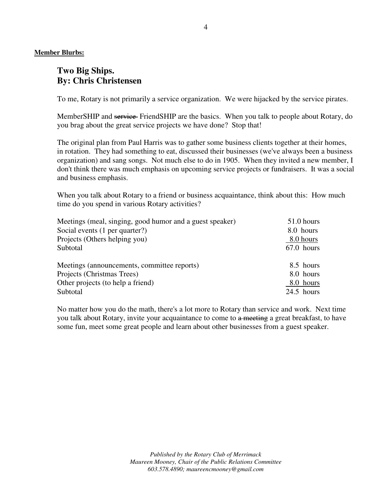**Member Blurbs:** 

## **Two Big Ships. By: Chris Christensen**

To me, Rotary is not primarily a service organization. We were hijacked by the service pirates.

MemberSHIP and service FriendSHIP are the basics. When you talk to people about Rotary, do you brag about the great service projects we have done? Stop that!

The original plan from Paul Harris was to gather some business clients together at their homes, in rotation. They had something to eat, discussed their businesses (we've always been a business organization) and sang songs. Not much else to do in 1905. When they invited a new member, I don't think there was much emphasis on upcoming service projects or fundraisers. It was a social and business emphasis.

When you talk about Rotary to a friend or business acquaintance, think about this: How much time do you spend in various Rotary activities?

| Meetings (meal, singing, good humor and a guest speaker) | 51.0 hours   |  |
|----------------------------------------------------------|--------------|--|
| Social events (1 per quarter?)                           | 8.0 hours    |  |
| Projects (Others helping you)                            | 8.0 hours    |  |
| Subtotal                                                 | 67.0 hours   |  |
|                                                          |              |  |
| Meetings (announcements, committee reports)              | 8.5 hours    |  |
| Projects (Christmas Trees)                               | 8.0 hours    |  |
| Other projects (to help a friend)                        | 8.0 hours    |  |
| Subtotal                                                 | $24.5$ hours |  |

No matter how you do the math, there's a lot more to Rotary than service and work. Next time you talk about Rotary, invite your acquaintance to come to a meeting a great breakfast, to have some fun, meet some great people and learn about other businesses from a guest speaker.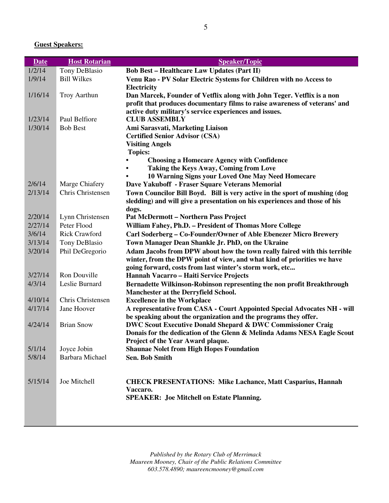## **Guest Speakers:**

| <b>Date</b> | <b>Host Rotarian</b>   | <b>Speaker/Topic</b>                                                                                 |
|-------------|------------------------|------------------------------------------------------------------------------------------------------|
| 1/2/14      | Tony DeBlasio          | <b>Bob Best - Healthcare Law Updates (Part II)</b>                                                   |
| 1/9/14      | <b>Bill Wilkes</b>     | Venu Rao - PV Solar Electric Systems for Children with no Access to                                  |
|             |                        | Electricity                                                                                          |
| 1/16/14     | <b>Troy Aarthun</b>    | Dan Marcek, Founder of Vetflix along with John Teger. Vetflix is a non                               |
|             |                        | profit that produces documentary films to raise awareness of veterans' and                           |
|             |                        | active duty military's service experiences and issues.                                               |
| 1/23/14     | Paul Belfiore          | <b>CLUB ASSEMBLY</b>                                                                                 |
| 1/30/14     | <b>Bob Best</b>        | Ami Sarasvati, Marketing Liaison                                                                     |
|             |                        | <b>Certified Senior Advisor (CSA)</b>                                                                |
|             |                        | <b>Visiting Angels</b>                                                                               |
|             |                        | <b>Topics:</b>                                                                                       |
|             |                        | <b>Choosing a Homecare Agency with Confidence</b>                                                    |
|             |                        | Taking the Keys Away, Coming from Love                                                               |
| 2/6/14      | Marge Chiafery         | 10 Warning Signs your Loved One May Need Homecare<br>Dave Yakuboff - Fraser Square Veterans Memorial |
| 2/13/14     | Chris Christensen      | Town Councilor Bill Boyd. Bill is very active in the sport of mushing (dog                           |
|             |                        | sledding) and will give a presentation on his experiences and those of his                           |
|             |                        | dogs.                                                                                                |
| 2/20/14     | Lynn Christensen       | <b>Pat McDermott - Northern Pass Project</b>                                                         |
| 2/27/14     | Peter Flood            | William Fahey, Ph.D. - President of Thomas More College                                              |
| 3/6/14      | <b>Rick Crawford</b>   | Carl Soderberg - Co-Founder/Owner of Able Ebenezer Micro Brewery                                     |
| 3/13/14     | Tony DeBlasio          | Town Manager Dean Shankle Jr. PhD, on the Ukraine                                                    |
| 3/20/14     | Phil DeGregorio        | Adam Jacobs from DPW about how the town really faired with this terrible                             |
|             |                        | winter, from the DPW point of view, and what kind of priorities we have                              |
|             |                        | going forward, costs from last winter's storm work, etc                                              |
| 3/27/14     | Ron Douville           | Hannah Vacarro - Haiti Service Projects                                                              |
| 4/3/14      | Leslie Burnard         | Bernadette Wilkinson-Robinson representing the non profit Breakthrough                               |
|             |                        | Manchester at the Derryfield School.                                                                 |
| 4/10/14     | Chris Christensen      | <b>Excellence in the Workplace</b>                                                                   |
| 4/17/14     | Jane Hoover            | A representative from CASA - Court Appointed Special Advocates NH - will                             |
|             |                        | be speaking about the organization and the programs they offer.                                      |
| 4/24/14     | <b>Brian Snow</b>      | <b>DWC Scout Executive Donald Shepard &amp; DWC Commissioner Craig</b>                               |
|             |                        | Donais for the dedication of the Glenn & Melinda Adams NESA Eagle Scout                              |
|             |                        | Project of the Year Award plaque.                                                                    |
| 5/1/14      | Joyce Jobin            | <b>Shaunae Nolet from High Hopes Foundation</b>                                                      |
| 5/8/14      | <b>Barbara Michael</b> | <b>Sen. Bob Smith</b>                                                                                |
|             |                        |                                                                                                      |
|             |                        |                                                                                                      |
| 5/15/14     | Joe Mitchell           | <b>CHECK PRESENTATIONS: Mike Lachance, Matt Casparius, Hannah</b>                                    |
|             |                        | Vaccaro.                                                                                             |
|             |                        | <b>SPEAKER: Joe Mitchell on Estate Planning.</b>                                                     |